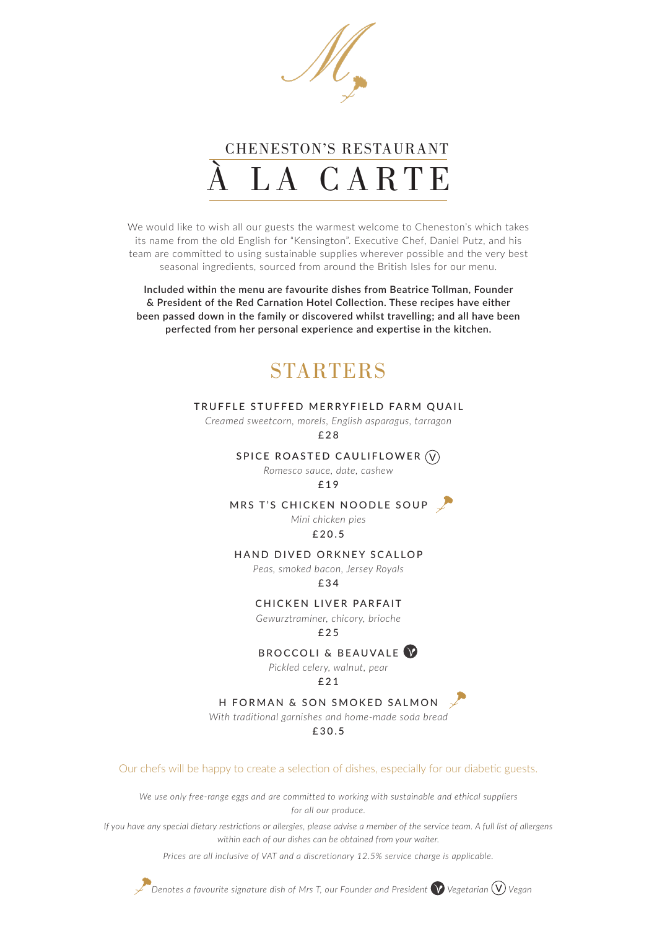

# À LA CARTE CHENESTON'S RESTAURANT

We would like to wish all our guests the warmest welcome to Cheneston's which takes its name from the old English for "Kensington". Executive Chef, Daniel Putz, and his team are committed to using sustainable supplies wherever possible and the very best seasonal ingredients, sourced from around the British Isles for our menu.

**Included within the menu are favourite dishes from Beatrice Tollman, Founder & President of the Red Carnation Hotel Collection. These recipes have either been passed down in the family or discovered whilst travelling; and all have been perfected from her personal experience and expertise in the kitchen.**

## **STARTERS**

#### TRUFFLE STUFFED MERRYFIELD FARM QUAIL

*Creamed sweetcorn, morels, English asparagus, tarragon* 

£28

#### SPICE ROASTED CAULIFLOWER (V

*Romesco sauce, date, cashew* £19

#### MRS T'S CHICKEN NOODLE SOUP

*Mini chicken pies* £20.5

#### HAND DIVED ORKNEY SCALLOP

*Peas, smoked bacon, Jersey Royals*

£34

#### CHICKEN LIVER PARFAIT

*Gewurztraminer, chicory, brioche* 

£25

#### BROCCOLI & BEAUVALE

*Pickled celery, walnut, pear* 

#### £21

#### H FORMAN & SON SMOKED SALMON

*With traditional garnishes and home-made soda bread*

£30.5

Our chefs will be happy to create a selection of dishes, especially for our diabetic guests.

*We use only free-range eggs and are committed to working with sustainable and ethical suppliers for all our produce.*

*If you have any special dietary restrictions or allergies, please advise a member of the service team. A full list of allergens within each of our dishes can be obtained from your waiter.*

*Prices are all inclusive of VAT and a discretionary 12.5% service charge is applicable.*

*Denotes a favourite signature dish of Mrs T, our Founder and President Vegetarian* V *Vegan*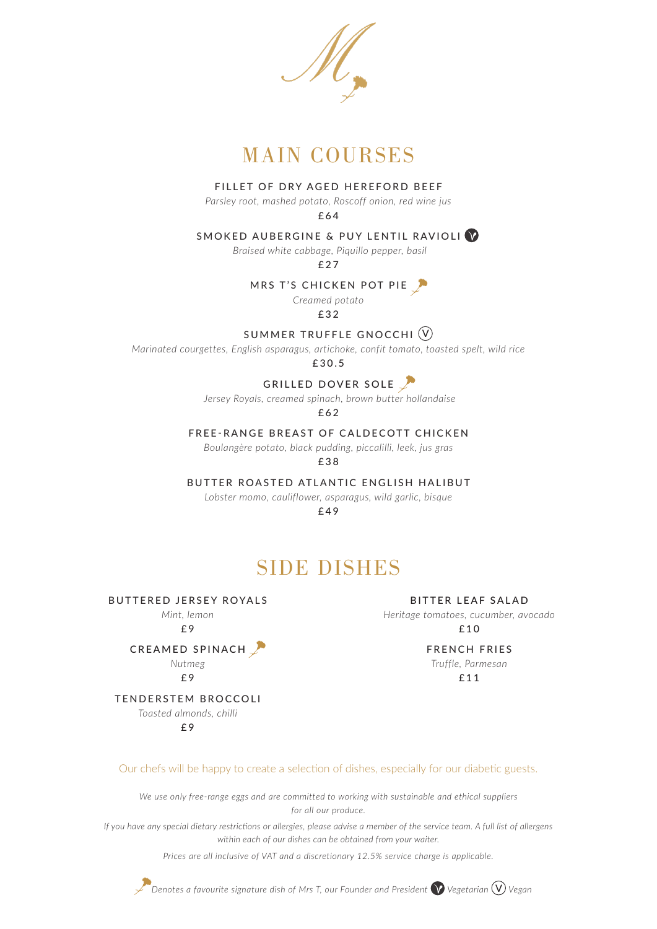### MAIN COURSES

#### FILLET OF DRY AGED HEREFORD BEEF

*Parsley root, mashed potato, Roscoff onion, red wine jus*

£64

#### SMOKED AUBERGINE & PUY LENTIL RAVIOLI<sup>V</sup>

 *Braised white cabbage, Piquillo pepper, basil*

£27

#### MRS T'S CHICKEN POT PIE

*Creamed potato*

£32

#### SUMMER TRUFFLE GNOCCHI V

*Marinated courgettes, English asparagus, artichoke, confit tomato, toasted spelt, wild rice*

£30.5

#### GRILLED DOVER SOLE

 *Jersey Royals, creamed spinach, brown butter hollandaise*

 $f \wedge 2$ 

#### FREE-RANGE BREAST OF CALDECOTT CHICKEN

*Boulangère potato, black pudding, piccalilli, leek, jus gras* 

£38

#### BUTTER ROASTED ATLANTIC ENGLISH HALIBUT

*Lobster momo, cauliflower, asparagus, wild garlic, bisque* 

£49

## SIDE DISHES

#### BUTTERED JERSEY ROYALS

*Mint, lemon*  £ 9

# CREAMED SPINACH

*Nutmeg* £ 9

TENDERSTEM BROCCOLI

*Toasted almonds, chilli*  £ 9

BITTER LEAF SALAD

*Heritage tomatoes, cucumber, avocado*  £10

> FRENCH FRIES *Truffle, Parmesan*

> > £11

Our chefs will be happy to create a selection of dishes, especially for our diabetic guests.

*We use only free-range eggs and are committed to working with sustainable and ethical suppliers for all our produce.*

*If you have any special dietary restrictions or allergies, please advise a member of the service team. A full list of allergens within each of our dishes can be obtained from your waiter.*

*Prices are all inclusive of VAT and a discretionary 12.5% service charge is applicable.*

 $\mathscr{L}$  Denotes a favourite signature dish of Mrs T, our Founder and President  $\Omega$  Vegetarian  $\Omega$  Vegan